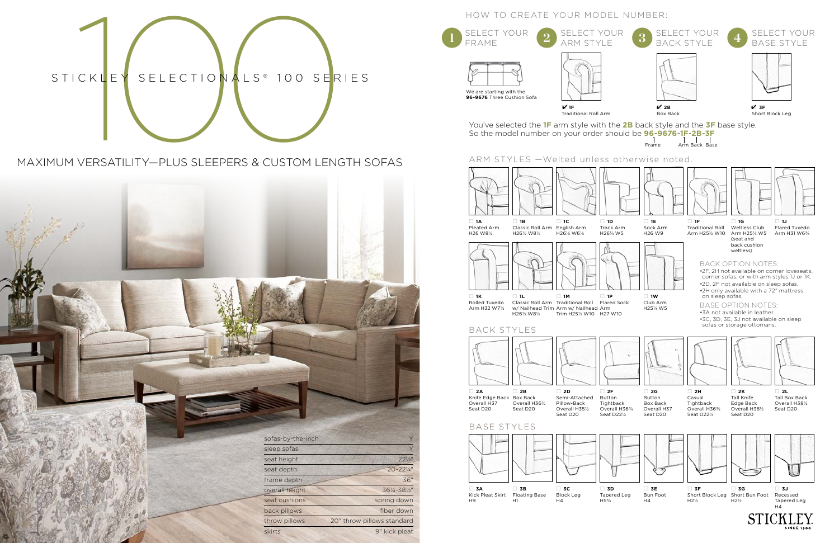

# MAXIMUM VERSATILITY—PLUS SLEEPERS & CUSTOM LENGTH SOFAS







 $H1$ 

H5¾

 $H<sub>4</sub>$ SINCE 10

# HOW TO CREATE YOUR MODEL NUMBER:

□ **1F** ECT YOUR. RAME We are starting with the **96-9676** Three Cushion Sofa